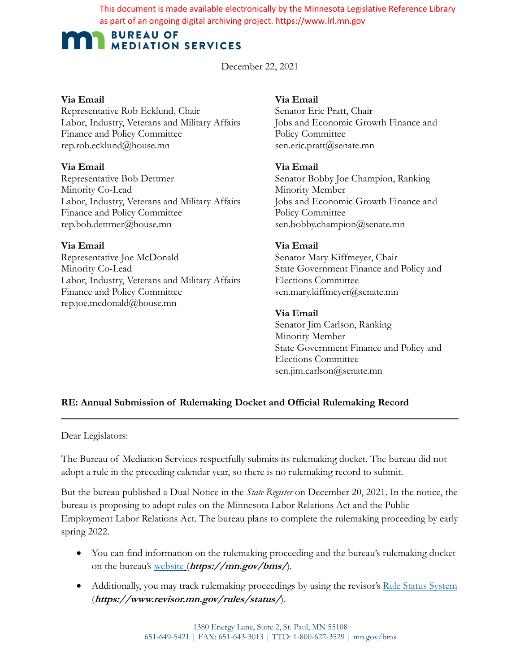This document is made available electronically by the Minnesota Legislative Reference Library as part of an ongoing digital archiving project. https://www.lrl.mn.gov

# **BUREAU OF MEDIATION SERVICES**

# December 22, 2021

#### **Via Email**

Representative Rob Ecklund, Chair Labor, Industry, Veterans and Military Affairs Finance and Policy Committee rep.rob.ecklund@house.mn

# **Via Email**

Representative Bob Dettmer Minority Co-Lead Labor, Industry, Veterans and Military Affairs Finance and Policy Committee rep.bob.dettmer@house.mn

# **Via Email**

Representative Joe McDonald Minority Co-Lead Labor, Industry, Veterans and Military Affairs Finance and Policy Committee rep.joe.mcdonald@house.mn

# **Via Email**

Senator Eric Pratt, Chair Jobs and Economic Growth Finance and Policy Committee sen.eric.pratt@senate.mn

## **Via Email**

Senator Bobby Joe Champion, Ranking Minority Member Jobs and Economic Growth Finance and Policy Committee sen.bobby.champion@senate.mn

# **Via Email**

Senator Mary Kiffmeyer, Chair State Government Finance and Policy and Elections Committee sen.mary.kiffmeyer@senate.mn

## **Via Email**

Senator Jim Carlson, Ranking Minority Member State Government Finance and Policy and Elections Committee sen.jim.carlson@senate.mn

# **RE: Annual Submission of Rulemaking Docket and Official Rulemaking Record**

Dear Legislators:

The Bureau of Mediation Services respectfully submits its rulemaking docket. The bureau did not adopt a rule in the preceding calendar year, so there is no rulemaking record to submit.

But the bureau published a Dual Notice in the *State Register* on December 20, 2021. In the notice, the bureau is proposing to adopt rules on the Minnesota Labor Relations Act and the Public Employment Labor Relations Act. The bureau plans to complete the rulemaking proceeding by early spring 2022.

- You can find information on the rulemaking proceeding and the bureau's rulemaking docket on the bureau's website (**https://mn.gov/bms/**).
- Additionally, you may track rulemaking proceedings by using the revisor's Rule Status System (**https://www.revisor.mn.gov/rules/status/**).